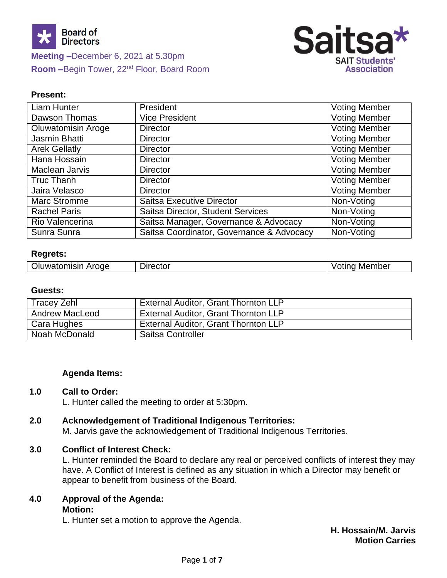



#### **Present:**

| <b>Liam Hunter</b>        | President                                 | <b>Voting Member</b> |
|---------------------------|-------------------------------------------|----------------------|
| Dawson Thomas             | <b>Vice President</b>                     | <b>Voting Member</b> |
| <b>Oluwatomisin Aroge</b> | <b>Director</b>                           | <b>Voting Member</b> |
| Jasmin Bhatti             | <b>Director</b>                           | <b>Voting Member</b> |
| <b>Arek Gellatly</b>      | <b>Director</b>                           | <b>Voting Member</b> |
| Hana Hossain              | <b>Director</b>                           | <b>Voting Member</b> |
| Maclean Jarvis            | <b>Director</b>                           | <b>Voting Member</b> |
| Truc Thanh                | <b>Director</b>                           | <b>Voting Member</b> |
| Jaira Velasco             | <b>Director</b>                           | <b>Voting Member</b> |
| Marc Stromme              | <b>Saitsa Executive Director</b>          | Non-Voting           |
| <b>Rachel Paris</b>       | Saitsa Director, Student Services         | Non-Voting           |
| Rio Valencerina           | Saitsa Manager, Governance & Advocacy     | Non-Voting           |
| Sunra Sunra               | Saitsa Coordinator, Governance & Advocacy | Non-Voting           |

#### **Regrets:**

| <b>Oluwatomisin Aroge</b> | Director | Voting Member |
|---------------------------|----------|---------------|
|---------------------------|----------|---------------|

#### **Guests:**

| <b>Tracey Zehl</b>    | <b>External Auditor, Grant Thornton LLP</b> |
|-----------------------|---------------------------------------------|
| <b>Andrew MacLeod</b> | External Auditor, Grant Thornton LLP        |
| Cara Hughes           | <b>External Auditor, Grant Thornton LLP</b> |
| Noah McDonald         | <b>Saitsa Controller</b>                    |

#### **Agenda Items:**

#### **1.0 Call to Order:**

L. Hunter called the meeting to order at 5:30pm.

#### **2.0 Acknowledgement of Traditional Indigenous Territories:**

M. Jarvis gave the acknowledgement of Traditional Indigenous Territories.

#### **3.0 Conflict of Interest Check:**

L. Hunter reminded the Board to declare any real or perceived conflicts of interest they may have. A Conflict of Interest is defined as any situation in which a Director may benefit or appear to benefit from business of the Board.

### **4.0 Approval of the Agenda: Motion:**

L. Hunter set a motion to approve the Agenda.

**H. Hossain/M. Jarvis Motion Carries**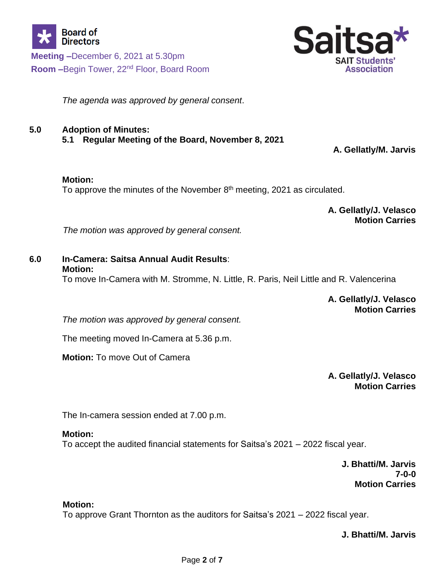

*The agenda was approved by general consent*.

# **5.0 Adoption of Minutes:**

**5.1 Regular Meeting of the Board, November 8, 2021**

**A. Gellatly/M. Jarvis**

#### **Motion:**

To approve the minutes of the November  $8<sup>th</sup>$  meeting, 2021 as circulated.

**A. Gellatly/J. Velasco Motion Carries**

*The motion was approved by general consent.*

# **6.0 In-Camera: Saitsa Annual Audit Results**: **Motion:**

To move In-Camera with M. Stromme, N. Little, R. Paris, Neil Little and R. Valencerina

**A. Gellatly/J. Velasco Motion Carries**

*The motion was approved by general consent.*

The meeting moved In-Camera at 5.36 p.m.

**Motion:** To move Out of Camera

**A. Gellatly/J. Velasco Motion Carries**

The In-camera session ended at 7.00 p.m.

# **Motion:**

To accept the audited financial statements for Saitsa's 2021 – 2022 fiscal year.

**J. Bhatti/M. Jarvis 7-0-0 Motion Carries**

# **Motion:**

To approve Grant Thornton as the auditors for Saitsa's 2021 – 2022 fiscal year.

**J. Bhatti/M. Jarvis**

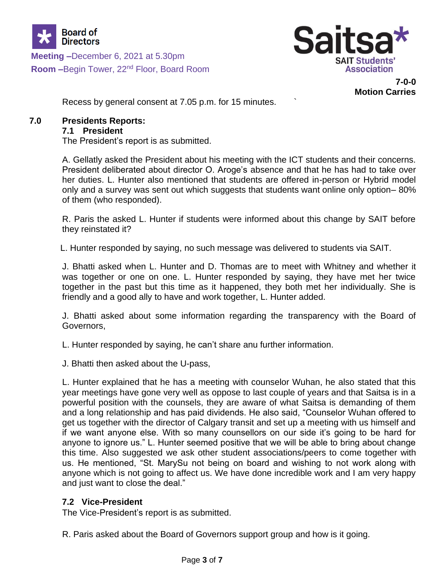



**7-0-0**

**Motion Carries**

Recess by general consent at 7.05 p.m. for 15 minutes. `

# **7.0 Presidents Reports:**

#### **7.1 President**

The President's report is as submitted.

A. Gellatly asked the President about his meeting with the ICT students and their concerns. President deliberated about director O. Aroge's absence and that he has had to take over her duties. L. Hunter also mentioned that students are offered in-person or Hybrid model only and a survey was sent out which suggests that students want online only option– 80% of them (who responded).

R. Paris the asked L. Hunter if students were informed about this change by SAIT before they reinstated it?

L. Hunter responded by saying, no such message was delivered to students via SAIT.

J. Bhatti asked when L. Hunter and D. Thomas are to meet with Whitney and whether it was together or one on one. L. Hunter responded by saying, they have met her twice together in the past but this time as it happened, they both met her individually. She is friendly and a good ally to have and work together, L. Hunter added.

J. Bhatti asked about some information regarding the transparency with the Board of Governors,

L. Hunter responded by saying, he can't share anu further information.

J. Bhatti then asked about the U-pass,

L. Hunter explained that he has a meeting with counselor Wuhan, he also stated that this year meetings have gone very well as oppose to last couple of years and that Saitsa is in a powerful position with the counsels, they are aware of what Saitsa is demanding of them and a long relationship and has paid dividends. He also said, "Counselor Wuhan offered to get us together with the director of Calgary transit and set up a meeting with us himself and if we want anyone else. With so many counsellors on our side it's going to be hard for anyone to ignore us." L. Hunter seemed positive that we will be able to bring about change this time. Also suggested we ask other student associations/peers to come together with us. He mentioned, "St. MarySu not being on board and wishing to not work along with anyone which is not going to affect us. We have done incredible work and I am very happy and just want to close the deal."

# **7.2 Vice-President**

The Vice-President's report is as submitted.

R. Paris asked about the Board of Governors support group and how is it going.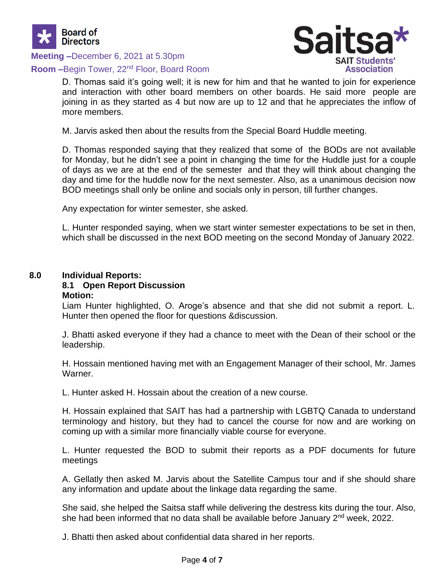

**Meeting –**December 6, 2021 at 5.30pm

#### **Room –**Begin Tower, 22nd Floor, Board Room



D. Thomas said it's going well; it is new for him and that he wanted to join for experience and interaction with other board members on other boards. He said more people are joining in as they started as 4 but now are up to 12 and that he appreciates the inflow of more members.

M. Jarvis asked then about the results from the Special Board Huddle meeting.

D. Thomas responded saying that they realized that some of the BODs are not available for Monday, but he didn't see a point in changing the time for the Huddle just for a couple of days as we are at the end of the semester and that they will think about changing the day and time for the huddle now for the next semester. Also, as a unanimous decision now BOD meetings shall only be online and socials only in person, till further changes.

Any expectation for winter semester, she asked.

L. Hunter responded saying, when we start winter semester expectations to be set in then, which shall be discussed in the next BOD meeting on the second Monday of January 2022.

#### **8.0 Individual Reports:**

#### **8.1 Open Report Discussion Motion:**

Liam Hunter highlighted, O. Aroge's absence and that she did not submit a report. L. Hunter then opened the floor for questions &discussion.

J. Bhatti asked everyone if they had a chance to meet with the Dean of their school or the leadership.

H. Hossain mentioned having met with an Engagement Manager of their school, Mr. James Warner.

L. Hunter asked H. Hossain about the creation of a new course.

H. Hossain explained that SAIT has had a partnership with LGBTQ Canada to understand terminology and history, but they had to cancel the course for now and are working on coming up with a similar more financially viable course for everyone.

L. Hunter requested the BOD to submit their reports as a PDF documents for future meetings

A. Gellatly then asked M. Jarvis about the Satellite Campus tour and if she should share any information and update about the linkage data regarding the same.

She said, she helped the Saitsa staff while delivering the destress kits during the tour. Also, she had been informed that no data shall be available before January 2<sup>nd</sup> week, 2022.

J. Bhatti then asked about confidential data shared in her reports.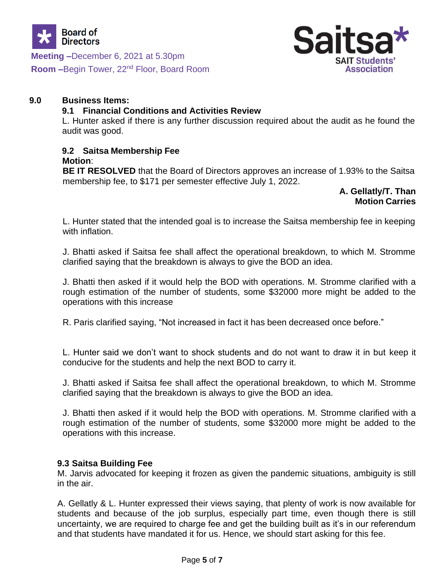



#### **9.0 Business Items:**

#### **9.1 Financial Conditions and Activities Review**

L. Hunter asked if there is any further discussion required about the audit as he found the audit was good.

# **9.2 Saitsa Membership Fee**

# **Motion**:

**BE IT RESOLVED** that the Board of Directors approves an increase of 1.93% to the Saitsa membership fee, to \$171 per semester effective July 1, 2022.

#### **A. Gellatly/T. Than Motion Carries**

L. Hunter stated that the intended goal is to increase the Saitsa membership fee in keeping with inflation.

J. Bhatti asked if Saitsa fee shall affect the operational breakdown, to which M. Stromme clarified saying that the breakdown is always to give the BOD an idea.

J. Bhatti then asked if it would help the BOD with operations. M. Stromme clarified with a rough estimation of the number of students, some \$32000 more might be added to the operations with this increase

R. Paris clarified saying, "Not increased in fact it has been decreased once before."

L. Hunter said we don't want to shock students and do not want to draw it in but keep it conducive for the students and help the next BOD to carry it.

J. Bhatti asked if Saitsa fee shall affect the operational breakdown, to which M. Stromme clarified saying that the breakdown is always to give the BOD an idea.

J. Bhatti then asked if it would help the BOD with operations. M. Stromme clarified with a rough estimation of the number of students, some \$32000 more might be added to the operations with this increase.

# **9.3 Saitsa Building Fee**

M. Jarvis advocated for keeping it frozen as given the pandemic situations, ambiguity is still in the air.

A. Gellatly & L. Hunter expressed their views saying, that plenty of work is now available for students and because of the job surplus, especially part time, even though there is still uncertainty, we are required to charge fee and get the building built as it's in our referendum and that students have mandated it for us. Hence, we should start asking for this fee.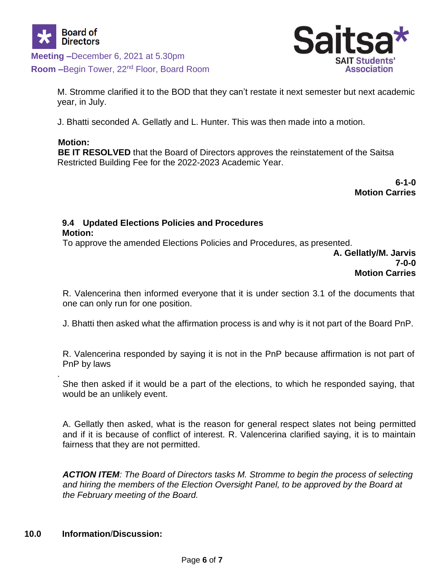



M. Stromme clarified it to the BOD that they can't restate it next semester but next academic year, in July.

J. Bhatti seconded A. Gellatly and L. Hunter. This was then made into a motion.

# **Motion:**

.

**BE IT RESOLVED** that the Board of Directors approves the reinstatement of the Saitsa Restricted Building Fee for the 2022-2023 Academic Year.

> **6-1-0 Motion Carries**

#### **9.4 Updated Elections Policies and Procedures Motion:**

To approve the amended Elections Policies and Procedures, as presented.

**A. Gellatly/M. Jarvis 7-0-0 Motion Carries**

R. Valencerina then informed everyone that it is under section 3.1 of the documents that one can only run for one position.

J. Bhatti then asked what the affirmation process is and why is it not part of the Board PnP.

R. Valencerina responded by saying it is not in the PnP because affirmation is not part of PnP by laws

She then asked if it would be a part of the elections, to which he responded saying, that would be an unlikely event.

A. Gellatly then asked, what is the reason for general respect slates not being permitted and if it is because of conflict of interest. R. Valencerina clarified saying, it is to maintain fairness that they are not permitted.

*ACTION ITEM: The Board of Directors tasks M. Stromme to begin the process of selecting and hiring the members of the Election Oversight Panel, to be approved by the Board at the February meeting of the Board.*

# **10.0 Information**/**Discussion:**